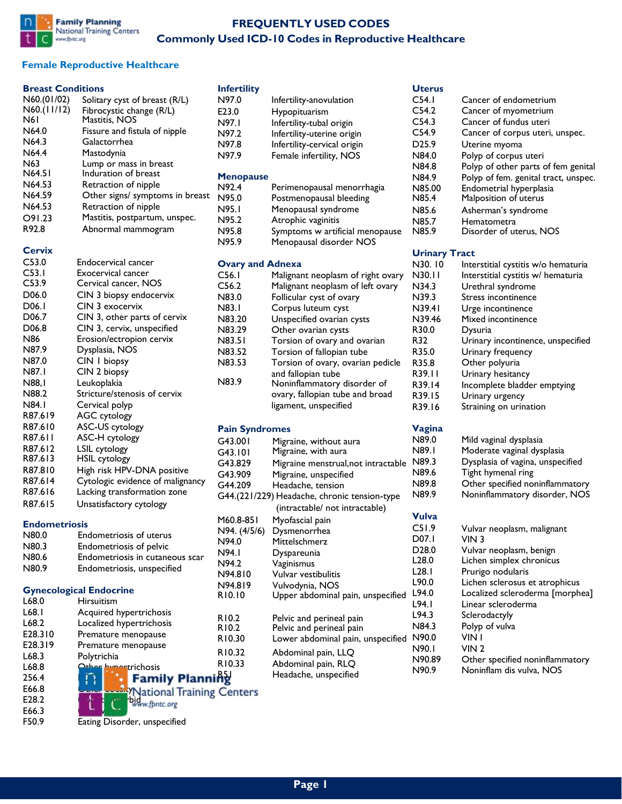

# **FREQUENTLY USED CODES Commonly Used ICD-10 Codes in Reproductive Healthcare**

Infertility-anovulation

N92.4 Perimenopausal menorrhagia

N95.1 Menopausal syndrome N95.2 Atrophic vaginitis

Postmenopausal bleeding

N95.8 Symptoms w artificial menopause<br>N95.9 Menopausal disorder NOS Menopausal disorder NOS

**Infertility** 

**Menopause** 

E23.0 Hypopituarism N97.1 Infertility-tubal origin N97.2 Infertility-uterine origin N97.8 Infertility-cervical origin N97.9 Female infertility, NOS

#### **Female Reproductive Healthcare**

| <b>Breast Conditions</b>           |                                  | Infert            |
|------------------------------------|----------------------------------|-------------------|
| N60.(01/02)                        | Solitary cyst of breast (R/L)    | N97.0             |
| N60.(11/12)                        | Fibrocystic change (R/L)         | E23.0             |
| N61                                | Mastitis, NOS                    | N97.I             |
| N64.0                              | Fissure and fistula of nipple    | N97.2             |
| N64.3                              | Galactorrhea                     | N97.8             |
| N64.4                              | Mastodynia                       | N97.9             |
| N63                                | Lump or mass in breast           |                   |
| N64.51                             | Induration of breast             | <b>Meno</b>       |
| N64.53                             | Retraction of nipple             | N92.4             |
| N64.59                             | Other signs/ symptoms in breast  | N95.0             |
| N64.53                             | Retraction of nipple             | N95.I             |
| O91.23                             | Mastitis, postpartum, unspec.    | N95.2             |
| R92.8                              | Abnormal mammogram               | N95.8             |
|                                    |                                  | N95.9             |
| <b>Cervix</b><br>C <sub>53.0</sub> | Endocervical cancer              |                   |
| C <sub>53.1</sub>                  | <b>Exocervical cancer</b>        | Ovary             |
| C53.9                              | Cervical cancer, NOS             | C <sub>56.1</sub> |
| D06.0                              | CIN 3 biopsy endocervix          | C56.2             |
| D <sub>06</sub> .1                 | CIN 3 exocervix                  | N83.0             |
| D06.7                              | CIN 3, other parts of cervix     | N83.1             |
| D <sub>06.8</sub>                  | CIN 3, cervix, unspecified       | N83.20            |
| N86                                | Erosion/ectropion cervix         | N83.29            |
| N87.9                              | Dysplasia, NOS                   | N83.5             |
| N87.0                              | CIN I biopsy                     | N83.52            |
| N87.1                              | CIN 2 biopsy                     | N83.53            |
| N88, I                             | Leukoplakia                      | N83.9             |
| N88.2                              | Stricture/stenosis of cervix     |                   |
| N84.1                              | Cervical polyp                   |                   |
| R87.619                            | AGC cytology                     |                   |
| R87.610                            | ASC-US cytology                  |                   |
| R87.611                            | ASC-H cytology                   | Pain S            |
| R87.612                            | LSIL cytology                    | G43.00            |
| R87.613                            | <b>HSIL cytology</b>             | G43.I             |
| R87.810                            | High risk HPV-DNA positive       | G43.82            |
| R87.614                            | Cytologic evidence of malignancy | G43.90            |
| R87.616                            | Lacking transformation zone      | G44.20            |
| R87.615                            | Unsatisfactory cytology          | G44.(2            |
|                                    |                                  |                   |
| <b>Endometriosis</b>               |                                  | M60.8-            |
| N80.0                              | Endometriosis of uterus          | N94. (·           |
| N80.3                              | Endometriosis of pelvic          | N94.0             |
| N80.6                              | Endometriosis in cutaneous scar  | N94.1             |
| N80.9                              | Endometriosis, unspecified       | N94.2             |
|                                    |                                  | N94.8             |
|                                    | <b>Gynecological Endocrine</b>   | N94.8<br>R10.10   |
| L68.0                              | Hirsuitism                       |                   |
| L68.1                              | Acquired hypertrichosis          |                   |
| L68.2                              | Localized hypertrichosis         | R10.2<br>R10.2    |
| E28.310                            | Premature menopause              | מר הום            |

|       |                         |                                              | <b>Urinary Tract</b> |                                     |
|-------|-------------------------|----------------------------------------------|----------------------|-------------------------------------|
|       | <b>Ovary and Adnexa</b> |                                              | N30.10               | Interstitial cystitis w/o hematuria |
|       | C <sub>56.1</sub>       | Malignant neoplasm of right ovary            | N30.11               | Interstitial cystitis w/ hematuria  |
|       | C56.2                   | Malignant neoplasm of left ovary             | N34.3                | Urethral syndrome                   |
|       | N83.0                   | Follicular cyst of ovary                     | N39.3                | Stress incontinence                 |
|       | N83.1                   | Corpus luteum cyst                           | N39.41               | Urge incontinence                   |
|       | N83.20                  | Unspecified ovarian cysts                    | N39.46               | Mixed incontinence                  |
|       | N83.29                  | Other ovarian cysts                          | R30.0                | Dysuria                             |
|       | N83.51                  | Torsion of ovary and ovarian                 | R32                  | Urinary incontinence, unspecified   |
|       | N83.52                  | Torsion of fallopian tube                    | R35.0                | Urinary frequency                   |
|       | N83.53                  | Torsion of ovary, ovarian pedicle            | R35.8                | Other polyuria                      |
|       |                         | and fallopian tube                           | R39.11               | Urinary hesitancy                   |
|       | N83.9                   | Noninflammatory disorder of                  | R39.14               | Incomplete bladder emptying         |
|       |                         | ovary, fallopian tube and broad              | R39.15               | Urinary urgency                     |
|       |                         | ligament, unspecified                        | R39.16               | Straining on urination              |
|       | <b>Pain Syndromes</b>   |                                              | Vagina               |                                     |
|       | G43.001                 | Migraine, without aura                       | N89.0                | Mild vaginal dysplasia              |
|       | G43.101                 | Migraine, with aura                          | N89.1                | Moderate vaginal dysplasia          |
|       | G43.829                 | Migraine menstrual, not intractable          | N89.3                | Dysplasia of vagina, unspecified    |
|       | G43.909                 | Migraine, unspecified                        | N89.6                | Tight hymenal ring                  |
| iancy | G44.209                 | Headache, tension                            | N89.8                | Other specified noninflammatory     |
|       |                         | G44.(221/229) Headache, chronic tension-type | N89.9                | Noninflammatory disorder, NOS       |
|       |                         | (intractable/ not intractable)               |                      |                                     |
|       | M60.8-851               | Myofascial pain                              | <b>Vulva</b>         |                                     |
|       | N94. (4/5/6)            | Dysmenorrhea                                 | C51.9                | Vulvar neoplasm, malignant          |
|       | N94.0                   | Mittelschmerz                                | D07.1                | VIN <sub>3</sub>                    |
|       | N94.1                   | Dyspareunia                                  | D <sub>28.0</sub>    | Vulvar neoplasm, benign             |
| scar  | N94.2                   | Vaginismus                                   | L <sub>28.0</sub>    | Lichen simplex chronicus            |
|       | N94.810                 | Vulvar vestibulitis                          | L28.1                | Prurigo nodularis                   |
|       | N94.819                 | Vulvodynia, NOS                              | L90.0                | Lichen sclerosus et atrophicus      |
|       | R10.10                  | Upper abdominal pain, unspecified            | L94.0                | Localized scleroderma [morphea]     |
|       |                         |                                              | L94.1                | Linear scleroderma                  |
|       | R <sub>10.2</sub>       | Pelvic and perineal pain                     | L94.3                | Sclerodactyly                       |
|       | R <sub>10.2</sub>       | Pelvic and perineal pain                     | N84.3                | Polyp of vulva                      |
|       | R10.30                  | Lower abdominal pain, unspecified            | N90.0                | VIN I                               |
|       |                         |                                              |                      |                                     |

# R10.32 Abdominal pain, LLQ R10.33 Abdominal pain, RLQ

256.4 **Other Family Planning**<br>E66.8 **Other observed Antional Training Centers** Headache, unspecified

| <b>Uterus</b>     |                                      |
|-------------------|--------------------------------------|
| C <sub>54.1</sub> | Cancer of endometrium                |
| C <sub>54.2</sub> | Cancer of myometrium                 |
| C <sub>54.3</sub> | Cancer of fundus uteri               |
| C <sub>54.9</sub> | Cancer of corpus uteri, unspec.      |
| D <sub>25.9</sub> | Uterine myoma                        |
| N84.0             | Polyp of corpus uteri                |
| N84.8             | Polyp of other parts of fem genital  |
| N84.9             | Polyp of fem. genital tract, unspec. |
| N85.00            | Endometrial hyperplasia              |
| N85.4             | Malposition of uterus                |
| N85.6             | Asherman's syndrome                  |
| N85.7             | Hematometra                          |
| N85.9             | Disorder of uterus, NOS              |

#### **Urinary Tract**

| N30.10 | Interstitial cystitis w/o hematuria |
|--------|-------------------------------------|
| N30.11 | Interstitial cystitis w/ hematuria  |
| N34.3  | Urethral syndrome                   |
| N39.3  | Stress incontinence                 |
| N39.41 | Urge incontinence                   |
| N39.46 | Mixed incontinence                  |
| R30.0  | Dysuria                             |
| R32    | Urinary incontinence, unspecified   |
| R35.0  | Urinary frequency                   |
| R35.8  | Other polyuria                      |
| R39.11 | Urinary hesitancy                   |
| R39.14 | Incomplete bladder emptying         |
| R39.15 | Urinary urgency                     |
| R39.16 | Straining on urination              |
|        |                                     |

#### **Vagina**

| N89.0 | Mild vaginal dysplasia           |
|-------|----------------------------------|
| N89.1 | Moderate vaginal dysplasia       |
| N89.3 | Dysplasia of vagina, unspecified |
| N89.6 | Tight hymenal ring               |
| N89.8 | Other specified noninflammatory  |
| N89.9 | Noninflammatory disorder, NOS    |

#### **Vulva**   $C51.9$

| C <sub>51.9</sub> | Vulvar neoplasm, malignant      |
|-------------------|---------------------------------|
| D07.1             | VIN 3                           |
| D <sub>28.0</sub> | Vulvar neoplasm, benign         |
| L <sub>28.0</sub> | Lichen simplex chronicus        |
| L28.1             | Prurigo nodularis               |
| L90.0             | Lichen sclerosus et atrophicus  |
| L94.0             | Localized scleroderma [morphea] |
| L94.1             | Linear scleroderma              |
| L94.3             | Sclerodactyly                   |
| N84.3             | Polyp of vulva                  |
| N90.0             | VIN I                           |
| N90.1             | VIN 2                           |
| N90.89            | Other specified noninflammatory |
| N90.9             | Noninflam dis vulva, NOS        |

F50.9 Eating Disorder, unspecified

 $E28.2$   $\left| \begin{array}{cc} \frac{1}{2} & \frac{1}{2} \\ \frac{1}{2} & \frac{1}{2} \end{array} \right|$  bidww.fpntc.org

E28.319 Premature menopause

L68.8 Other hypertrichosis

L68.3 Polytrichia (

256.4

 $E66.3$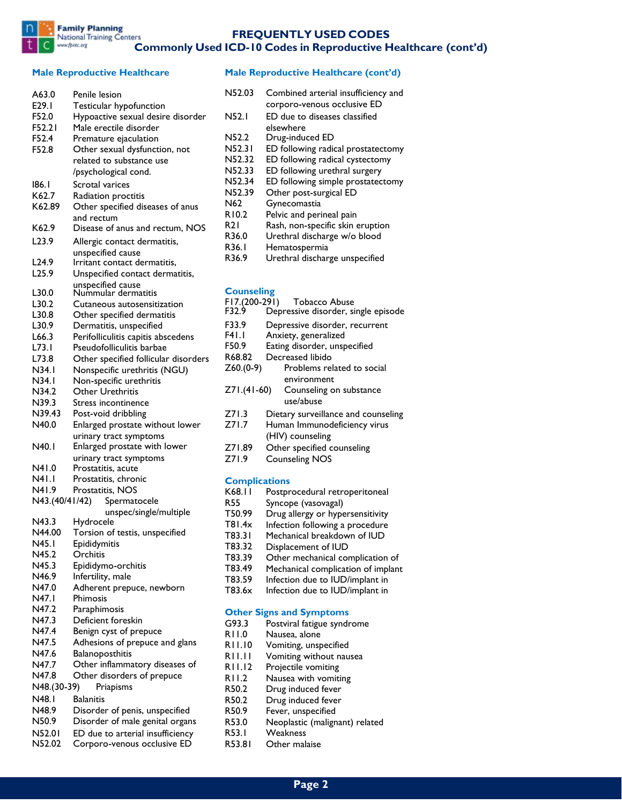

#### **FREQUENTLY USED CODES**

**Conting Centers**<br> **Commonly Used ICD-10 Codes in Reproductive Healthcare (cont'd)** 

#### **Male Reproductive Healthcare**

| Male Reproductive Healthcare (cont'd) |  |  |
|---------------------------------------|--|--|
|---------------------------------------|--|--|

| A63.0             | Penile lesion                        | N52.03                 | Combined arterial insufficiency and                  |
|-------------------|--------------------------------------|------------------------|------------------------------------------------------|
| E29.1             | Testicular hypofunction              |                        | corporo-venous occlusive ED                          |
| F52.0             | Hypoactive sexual desire disorder    | N52.1                  | ED due to diseases classified                        |
| F52.21            | Male erectile disorder               |                        | elsewhere                                            |
| F52.4             | Premature ejaculation                | N52.2                  | Drug-induced ED                                      |
| F52.8             | Other sexual dysfunction, not        | N52.31                 | ED following radical prostatectomy                   |
|                   | related to substance use             | N52.32                 | ED following radical cystectomy                      |
|                   | /psychological cond.                 | N52.33                 | ED following urethral surgery                        |
|                   |                                      | N52.34                 | ED following simple prostatectomy                    |
| 186.I             | Scrotal varices                      | N52.39                 | Other post-surgical ED                               |
| K62.7             | Radiation proctitis                  | N62                    | Gynecomastia                                         |
| K62.89            | Other specified diseases of anus     | R10.2                  | Pelvic and perineal pain                             |
|                   | and rectum                           | R21                    | Rash, non-specific skin eruption                     |
| K62.9             | Disease of anus and rectum, NOS      | R36.0                  | Urethral discharge w/o blood                         |
| L <sub>23.9</sub> | Allergic contact dermatitis,         |                        |                                                      |
|                   | unspecified cause                    | R36.I                  | Hematospermia                                        |
| L24.9             | Irritant contact dermatitis,         | R36.9                  | Urethral discharge unspecified                       |
| L <sub>25.9</sub> | Unspecified contact dermatitis,      |                        |                                                      |
|                   | unspecified cause                    |                        |                                                      |
| L30.0             | Nummular dermatitis                  | <b>Counseling</b>      |                                                      |
| L30.2             | Cutaneous autosensitization          | F17.(200-291)<br>F32.9 | Tobacco Abuse<br>Depressive disorder, single episode |
| L30.8             | Other specified dermatitis           |                        |                                                      |
| L30.9             | Dermatitis, unspecified              | F33.9                  | Depressive disorder, recurrent                       |
| L66.3             | Perifolliculitis capitis abscedens   | F41.1                  | Anxiety, generalized                                 |
| L73.1             | Pseudofolliculitis barbae            | F50.9                  | Eating disorder, unspecified                         |
| L73.8             | Other specified follicular disorders | R68.82                 | Decreased libido                                     |
| N34.1             | Nonspecific urethritis (NGU)         | $Z60.(0-9)$            | Problems related to social                           |
| N34.1             | Non-specific urethritis              |                        | environment                                          |
| N34.2             | <b>Other Urethritis</b>              | $Z71.(41-60)$          | Counseling on substance                              |
| N39.3             | Stress incontinence                  |                        | use/abuse                                            |
| N39.43            | Post-void dribbling                  | Z71.3                  | Dietary surveillance and counseling                  |
| N40.0             | Enlarged prostate without lower      | Z71.7                  | Human Immunodeficiency virus                         |
|                   | urinary tract symptoms               |                        | (HIV) counseling                                     |
| N40.1             | Enlarged prostate with lower         | Z71.89                 | Other specified counseling                           |
|                   | urinary tract symptoms               | Z71.9                  |                                                      |
| N41.0             | Prostatitis, acute                   |                        | <b>Counseling NOS</b>                                |
| N41.1             | Prostatitis, chronic                 |                        |                                                      |
| N41.9             |                                      | <b>Complications</b>   |                                                      |
|                   | Prostatitis, NOS                     | K68.II                 | Postprocedural retroperitoneal                       |
| N43.(40/41/42)    | Spermatocele                         | <b>R55</b>             | Syncope (vasovagal)                                  |
|                   | unspec/single/multiple               | T50.99                 | Drug allergy or hypersensitivity                     |
| N43.3             | Hydrocele                            | T81.4x                 | Infection following a procedure                      |
| N44.00            | Torsion of testis, unspecified       | T83.31                 | Mechanical breakdown of IUD                          |
| N45.1             | Epididymitis                         | T83.32                 | Displacement of IUD                                  |
| N45.2             | Orchitis                             | T83.39                 | Other mechanical complication of                     |
| N45.3             | Epididymo-orchitis                   | T83.49                 | Mechanical complication of implant                   |
| N46.9             | Infertility, male                    | T83.59                 | Infection due to IUD/implant in                      |
| N47.0             | Adherent prepuce, newborn            | T83.6x                 | Infection due to IUD/implant in                      |
| N47.I             | Phimosis                             |                        |                                                      |
| N47.2             | Paraphimosis                         |                        | <b>Other Signs and Symptoms</b>                      |
| N47.3             | Deficient foreskin                   | G93.3                  | Postviral fatigue syndrome                           |
| N47.4             | Benign cyst of prepuce               | RI 1.0                 | Nausea, alone                                        |
| N47.5             | Adhesions of prepuce and glans       |                        |                                                      |
| N47.6             | Balanoposthitis                      | RI 1.10                | Vomiting, unspecified                                |
| N47.7             | Other inflammatory diseases of       | RII.II                 | Vomiting without nausea                              |
| N47.8             | Other disorders of prepuce           | RI I.I2                | Projectile vomiting                                  |
|                   |                                      | RI 1.2                 | Nausea with vomiting                                 |
| N48.(30-39)       | Priapisms                            | R50.2                  | Drug induced fever                                   |
| N48.1             | <b>Balanitis</b>                     | R50.2                  | Drug induced fever                                   |
| N48.9             | Disorder of penis, unspecified       | R50.9                  | Fever, unspecified                                   |
| N50.9             | Disorder of male genital organs      | R53.0                  | Neoplastic (malignant) related                       |

N52.01 ED due to arterial insufficiency N52.02 Corporo-venous occlusive ED

R53.81 Other malaise

| Z71.(41-60)          | environment<br>Counseling on substance<br>use/abuse |
|----------------------|-----------------------------------------------------|
| Z71.3                | Dietary surveillance and counseling                 |
| Z71.7                | Human Immunodeficiency virus<br>(HIV) counseling    |
| Z71.89               | Other specified counseling                          |
| Z71.9                | <b>Counseling NOS</b>                               |
| <b>Complications</b> |                                                     |
| K68.II               | Postprocedural retroperitoneal                      |
| R55                  | Syncope (vasovagal)                                 |
| T50.99               | Drug allergy or hypersensitivity                    |
| T81.4x               | Infection following a procedure                     |
| T83.31               | Mechanical breakdown of IUD                         |
| T83.32               | Displacement of IUD                                 |
|                      |                                                     |

- 9 Other mechanical complication of
- T83.49 Mechanical complication of implant
- Infection due to IUD/implant in
- T83.6x Infection due to IUD/implant in

#### **Other Signs and Symptoms**

- Postviral fatigue syndrome
- Nausea, alone
- 0 Vomiting, unspecified
- Vomiting without nausea
- 2 Projectile vomiting
- Nausea with vomiting
- Drug induced fever
- Drug induced fever
- Fever, unspecified
- R53.0 Neoplastic (malignant) related<br>R53.1 Weakness
- R53.1 Weakness
	-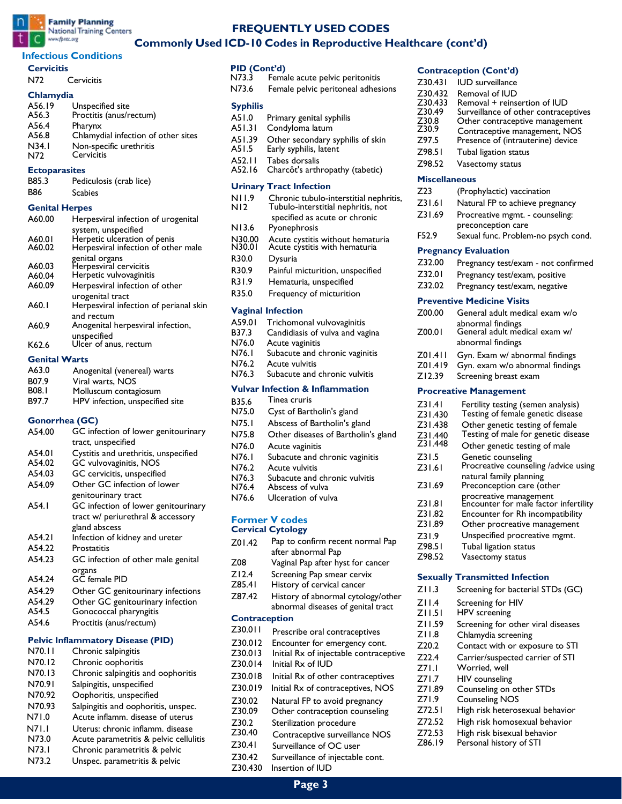

# **National Training Centers**

## **FREQUENTLY USED CODES**

## **Commonly Used ICD-10 Codes in Reproductive Healthcare (cont'd)**

## **Infectious Conditions**

#### **Cervicitis**

| N72       | Cervicitis                          |
|-----------|-------------------------------------|
| Chlamydia |                                     |
| A56.19    | Unspecified site                    |
| A56.3     | Proctitis (anus/rectum)             |
| A56.4     | Pharynx                             |
| A56.8     | Chlamydial infection of other sites |
| .         | $\sim$ $\sim$ $\sim$ $\sim$ $\sim$  |

| N34.1 | Non-specific urethritis |
|-------|-------------------------|
| N72   | Cervicitis              |

 **Ectoparasites** 

| B85.3      | Pediculosis (crab lice) |
|------------|-------------------------|
| <b>B86</b> | <b>Scabies</b>          |

# **Genital Herpes**

| A60.00 | Herpesviral infection of urogenital    |
|--------|----------------------------------------|
|        | system, unspecified                    |
| A60.01 | Herpetic ulceration of penis           |
| A60.02 | Herpesviral infection of other male    |
|        | genital organs                         |
| A60.03 | Herpesviral cervicitis                 |
| A60.04 | Herpetic vulvovaginitis                |
| A60.09 | Herpesviral infection of other         |
|        | urogenital tract                       |
| A60. I | Herpesviral infection of perianal skin |
|        | and rectum                             |
| A60.9  | Anogenital herpesviral infection,      |
|        | unspecified<br>Ulcer of anus, rectum   |
| K62.6  |                                        |
|        |                                        |

#### **Genital Warts**

| A63.0        | Anogenital (venereal) warts |
|--------------|-----------------------------|
| B07.9        | Viral warts, NOS            |
| <b>DOO</b> 1 |                             |

B08.1 Molluscum contagiosum<br>B97.7 HPV infection, unspecifie HPV infection, unspecified site

#### **Gonorrhea (GC)**

| A54.00 | GC infection of lower genitourinary  |
|--------|--------------------------------------|
|        | tract, unspecified                   |
| A54.01 | Cystitis and urethritis, unspecified |
| A54.02 | GC vulvovaginitis, NOS               |
| A54.03 | GC cervicitis, unspecified           |
| A54.09 | Other GC infection of lower          |
|        | genitourinary tract                  |
| A54.I  | GC infection of lower genitourinary  |
|        | tract w/ periurethral & accessory    |
|        | gland abscess                        |
| A54.21 | Infection of kidney and ureter       |
| A54.22 | Prostatitis                          |
| A54.23 | GC infection of other male genital   |
|        | organs                               |
| A54.24 | <b>GC</b> female PID                 |
| A54.29 | Other GC genitourinary infections    |
| A54.29 | Other GC genitourinary infection     |
| A54.5  | Gonococcal pharyngitis               |
| A54.6  | Proctitis (anus/rectum)              |
|        |                                      |

# **Pelvic Inflammatory Disease (PID)**

- N70.11 Chronic salpingitis
- N70.12 Chronic oophoritis
- N70.13 Chronic salpingitis and oophoritis
- N70.91 Salpingitis, unspecified
- N70.92 Oophoritis, unspecified

cellulitis<br>Cellulitis

- N70.93 Salpingitis and oophoritis, unspec.
- N71.0 Acute inflamm. disease of uterus
- N71.1 Uterus: chronic inflamm. disease
- N73.0 Acute parametritis & pelvic cellulitis
- N73.1 Chronic parametritis & pelvic N73.2 Unspec. parametritis & pelvicelly

# **PID (Cont'd)**<br>N73.3 Fema

Female acute pelvic peritonitis N73.6 Female pelvic peritoneal adhesions

| <b>Syphilis</b>  |                                                                   |
|------------------|-------------------------------------------------------------------|
| A51.0            | Primary genital syphilis                                          |
| A51.31           | Condyloma latum                                                   |
| A51.39<br>A51.5  | Other secondary syphilis of skin<br>Early syphilis, latent        |
| A52.II           | Tabes dorsalis                                                    |
| A52.16           | Charcôt's arthropathy (tabetic)                                   |
|                  | <b>Urinary Tract Infection</b>                                    |
| NI 1.9           | Chronic tubulo-interstitial nephritis,                            |
| NI <sub>2</sub>  | Tubulo-interstitial nephritis, not                                |
|                  | specified as acute or chronic                                     |
| N13.6            | Pyonephrosis                                                      |
| N30.00<br>N30.01 | Acute cystitis without hematuria<br>Acute cystitis with hematuria |
| R30.0            | Dysuria                                                           |
| R30.9            | Painful micturition, unspecified                                  |
| R31.9            | Hematuria, unspecified                                            |
| R35.0            | Frequency of micturition                                          |

#### **Vaginal Infection**

| A59.01 |  |  | Trichomonal vulvovaginitis |  |
|--------|--|--|----------------------------|--|
| ----   |  |  |                            |  |

- B37.3 Candidiasis of vulva and vagina
- N76.0 Acute vaginitis
- N76.1 Subacute and chronic vaginitis
- N76.2 Acute vulvitis<br>N76.3 Subacute and Subacute and chronic vulvitis

#### **Vulvar Infection & Inflammation**

- B35.6 Tinea cruris<br>N75.0 Cyst of Bart
- Cyst of Bartholin's gland
- N75.1 Abscess of Bartholin's gland
- N75.8 Other diseases of Bartholin's gland
- N76.0 Acute vaginitis
- N76.1 Subacute and chronic vaginitis
- N76.2 Acute vulvitis
- N76.3 Subacute and chronic vulvitis<br>N76.4 Abscess of vulva
- Abscess of vulva
- N76.6 Ulceration of vulva

#### **Former V codes Cervical Cytology**

- Z01.42 Pap to confirm recent normal Pap after abnormal Pap
- Z08 Vaginal Pap after hyst for cancer
- Z12.4 Screening Pap smear cervix
- Z85.41 History of cervical cancer
- Z87.42 History of abnormal cytology/other abnormal diseases of genital tract

#### **Contraception**

- Z30.011 Prescribe oral contraceptives
- Z30.012 Encounter for emergency cont.
- Z30.013 Initial Rx of injectable contraceptive
- Z30.014 Initial Rx of IUD
- Z30.018 Initial Rx of other contraceptives
- Z30.019 Initial Rx of contraceptives, NOS
- Z30.02 Natural FP to avoid pregnancy
- Z30.09 Other contraception counseling
- Z30.2 Sterilization procedure<br>Z30.40 Contracentive surveilla
- Contraceptive surveillance NOS
- Z30.41 Surveillance of OC user
- Z30.42 Surveillance of injectable cont. Z30.430 Insertion of IUD

# **Contraception (Cont'd)**

- Z30.431 IUD surveillance Z30.432 Removal of IUD<br>730.433 Removal + reins Z30.433 Removal + reinsertion of IUD<br>Z30.49 Surveillance of other contrace Z30.49 Surveillance of other contraceptives<br>Z30.8 Other contraceptive management Z30.8 Other contraceptive management<br>Z30.9 Contraceptive management NOS Z30.9 Contraceptive management, NOS<br>297.5 Presence of (intrauterine) device Presence of (intrauterine) device Z98.51 Tubal ligation status Z98.52 Vasectomy status  **Miscellaneous**  Z23 (Prophylactic) vaccination Z31.61 Natural FP to achieve pregnancy Z31.69 Procreative mgmt. - counseling: preconception care F52.9 Sexual func. Problem-no psych cond.  **Pregnancy Evaluation**  Z32.00 Pregnancy test/exam - not confirmed Z32.01 Pregnancy test/exam, positive Z32.02 Pregnancy test/exam, negative  **Preventive Medicine Visits**  Z00.00 General adult medical exam w/o abnormal findings Z00.01 General adult medical exam w/ abnormal findings Z01.411 Gyn. Exam w/ abnormal findings Gyn. exam w/o abnormal findings Z12.39 Screening breast exam  **Procreative Management**  Z31.41 Fertility testing (semen analysis) Z31.430 Testing of female genetic disease Z31.438 Other genetic testing of female Z31.440 Testing of male for genetic disease<br>Z31.448 Other genetic testing of male  $Z31.448$  Other genetic testing of male Z31.5 Genetic counseling Z31.61 Procreative counseling /advice using natural family planning Z31.69 Preconception care (other procreative management Z31.81 Encounter for male factor infertility
	-
- Z31.82 Encounter for Rh incompatibility
- Z31.89 Other procreative management
- Z31.9 Unspecified procreative mgmt.
- Z98.51 Tubal ligation status
- Z98.52 Vasectomy status

#### **Sexually Transmitted Infection**

- Z11.3 Screening for bacterial STDs (GC)
- Z11.4 Screening for HIV<br>Z11.51 HPV screening
	- HPV screening
- Z11.59 Screening for other viral diseases
- Z11.8 Chlamydia screening
- Z20.2 Contact with or exposure to STI
- Z22.4 Carrier/suspected carrier of STI
- Z71.1 Worried, well
- Z71.7 HIV counseling
- Z71.89 Counseling on other STDs
- Z71.9 Counseling NOS
- Z72.51 High risk heterosexual behavior
- Z72.52 High risk homosexual behavior
- Z72.53 High risk bisexual behavior
	- Personal history of STI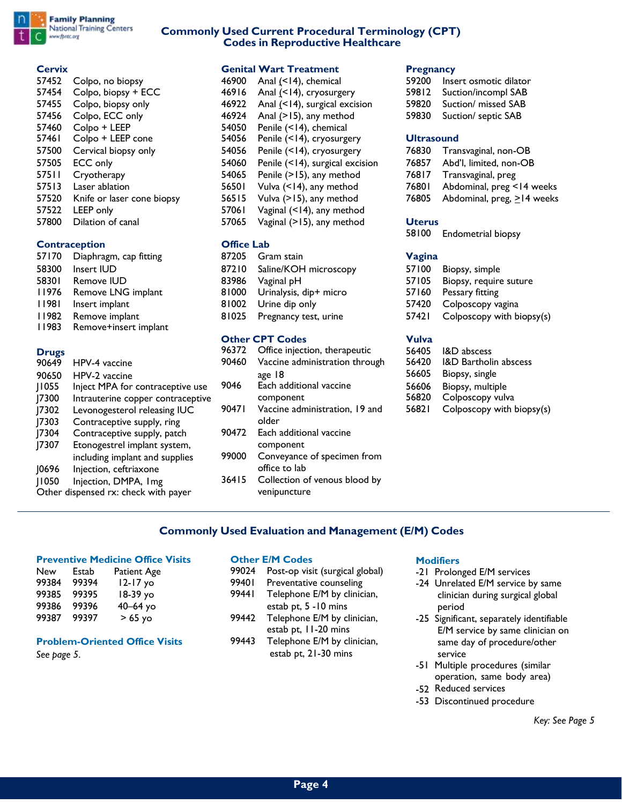

## **Commonly Used Current Procedural Terminology (CPT) Codes in Reproductive Healthcare**

#### **Cervix**

| Colpo, no biopsy           |
|----------------------------|
| Colpo, biopsy + ECC        |
| Colpo, biopsy only         |
| Colpo, ECC only            |
| Colpo + LEEP               |
| Colpo + LEEP cone          |
| Cervical biopsy only       |
| <b>ECC</b> only            |
| Cryotherapy                |
| Laser ablation             |
| Knife or laser cone biopsy |
| <b>LEEP</b> only           |
| Dilation of canal          |
|                            |

#### **Contraception**

| 57170 | Diaphragm, cap fitting |
|-------|------------------------|
| 58300 | Insert IUD             |
| 58301 | Remove IUD             |
| 11976 | Remove LNG implant     |
| 11981 | Insert implant         |
| 11982 | Remove implant         |
| 11983 | Remove+insert implant  |

# **Drugs**

| 90649        | HPV-4 vaccine                        |
|--------------|--------------------------------------|
| 90650        | HPV-2 vaccine                        |
| <b>J1055</b> | Inject MPA for contraceptive use     |
| 7300         | Intrauterine copper contraceptive    |
| 7302         | Levonogesterol releasing IUC         |
| 7303         | Contraceptive supply, ring           |
| 7304         | Contraceptive supply, patch          |
| 7307         | Etonogestrel implant system,         |
|              | including implant and supplies       |
| 10696        | Injection, ceftriaxone               |
| 1050         | Injection, DMPA, Img                 |
|              | Other dispensed rx: check with payer |
|              |                                      |

### **Genital Wart Treatment** 46900 Anal (<14), chemical 46916 Anal (<14), cryosurgery 46922 Anal (<14), surgical excision 46924 Anal (>15), any method 54050 Penile (<14), chemical 54056 Penile (<14), cryosurgery 54056 Penile (<14), cryosurgery 54060 Penile (<14), surgical excision 54065 Penile (>15), any method 56501 Vulva (<14), any method 56515 Vulva (>15), any method 57061 Vaginal (<14), any method 57065 Vaginal (>15), any method

### **Office Lab**

| 87205 | Gram stain             |
|-------|------------------------|
| 87210 | Saline/KOH microscopy  |
| 83986 | Vaginal pH             |
| 81000 | Urinalysis, dip+ micro |
| 81002 | Urine dip only         |
| 81025 | Pregnancy test, urine  |
|       |                        |

#### **Other CPT Codes**

|   | 96372 | Office injection, therapeutic  |
|---|-------|--------------------------------|
|   | 90460 | Vaccine administration through |
|   |       | age 18                         |
|   | 9046  | Each additional vaccine        |
| e |       | component                      |
|   | 90471 | Vaccine administration, 19 and |
|   |       | older                          |
|   | 90472 | Each additional vaccine        |
|   |       | component                      |
|   | 99000 | Conveyance of specimen from    |
|   |       | office to lab                  |
|   | 36415 | Collection of venous blood by  |
|   |       | venipuncture                   |

### **Pregnancy**

- 59200 Insert osmotic dilator 59812 Suction/incompl SAB
- 59820 Suction/ missed SAB
- 59830 Suction/ septic SAB

### **Ultrasound**

76830 Transvaginal, non-OB 76857 Abd'l, limited, non-OB 76817 Transvaginal, preg 76801 Abdominal, preg <14 weeks 76805 Abdominal, preg, >14 weeks

#### **Uterus**

58100 Endometrial biopsy

### **Vagina**

57100 Biopsy, simple 57105 Biopsy, require suture 57160 Pessary fitting 57420 Colposcopy vagina 57421 Colposcopy with biopsy(s)

## **Vulva**

| 56405 | <b>I&amp;D</b> abscess           |
|-------|----------------------------------|
| 56420 | <b>I&amp;D Bartholin abscess</b> |
| 56605 | Biopsy, single                   |
| 56606 | Biopsy, multiple                 |
| 56820 | Colposcopy vulva                 |
| 56821 | Colposcopy with biopsy(s)        |

## **Commonly Used Evaluation and Management (E/M) Codes**

#### **Preventive Medicine Office Visits**

| New   | Estab | Patient Age  |
|-------|-------|--------------|
| 99384 | 99394 | $12 - 17$ yo |
| 99385 | 99395 | 18-39 yo     |
| 99386 | 99396 | $40 - 64$ yo |
| 99387 | 99397 | > 65 yo      |

#### **Problem-Oriented Office Visits**

*See page 5*.

#### **Other E/M Codes**

- 99024 Post-op visit (surgical global)
- 99401 Preventative counseling
- 99441 Telephone E/M by clinician, estab pt, 5 -10 mins
- 99442 Telephone E/M by clinician, estab pt, 11-20 mins
- 99443 Telephone E/M by clinician, estab pt, 21-30 mins

#### **Modifiers**

- -21 Prolonged E/M services
- -24 Unrelated E/M service by same clinician during surgical global period
- -25 Significant, separately identifiable E/M service by same clinician on same day of procedure/other service
- -51 Multiple procedures (similar operation, same body area)
- -52 Reduced services
- -53 Discontinued procedure